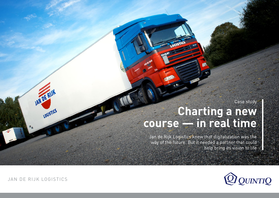Case study

# **Charting a new course — in real time**

Jan de Rijk Logistics knew that digitalization was the way of the future. But it needed a partner that could help bring its vision to life



JAN DE RIJK LOGISTICS

JAN DE RIJK

LOGISTICS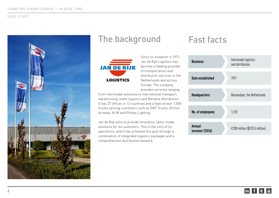

### The background Fast facts



Since its inception in 1971, Jan de Rijk Logistics has become a leading provider of transportation and distribution services in the Netherlands and across Europe. The company provides services ranging

from intermodal solutions to international transport, warehousing, event logistics and Benelux distribution. It has 27 offices in 13 countries and a fleet of over 1,000 trucks serving customers such as DAF Trucks, British Airways, KLM and Philips Lighting.

Jan de Rijk aims to provide innovative, tailor-made solutions for its customers. This is the core of its operations, and it has achieved this goal through a combination of integrated logistics packages and a comprehensive distribution network.

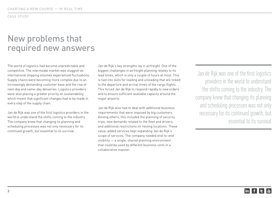### New problems that required new answers

The world of logistics had become unpredictable and competitive. The intermodal market was sluggish as international shipping volumes experienced fluctuations. Supply chains were becoming more complex due to an increasingly demanding customer base and the rise of next-day and same-day deliveries. Logistics providers were also placing a greater priority on sustainability, which meant that significant changes had to be made in every step of the supply chain.

Jan de Rijk was one of the first logistics providers in the world to understand the shifts coming to the industry. The company knew that changing its planning and scheduling processes was not only necessary for its continued growth, but essential to its survival.

Jan de Rijk's key strengths lay in airfreight. One of the biggest challenges in airfreight planning relates to its lead times, which is only a couple of hours at most. This is tied into slots for loading and unloading that are linked to the departure and arrival times of the cargo flights. This forced Jan de Rijk to respond rapidly to new orders and to ensure sufficient available capacity around the major airports.

Jan de Rijk also had to deal with additional business requirements that were imposed by big customers. Among others, this included the planning of security trips, new demands related to the fleet and drivers, and additional restrictions on resting locations. These value-added services kept expanding Jan de Rijk's scope of services. The company needed end-to-end visibility — a single, shared planning environment that could be used by different business units in a collaborative manner.

Jan de Rijk was one of the first logistics providers in the world to understand the shifts coming to the industry. The company knew that changing its planning and scheduling processes was not only necessary for its continued growth, but essential to its survival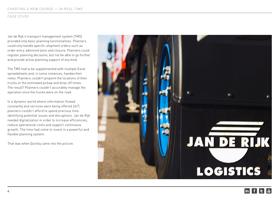Jan de Rijk's transport management system (TMS) provided only basic planning functionalities. Planners could only handle specific shipment orders such as order entry, administration and closure. Planners could register planning decisions, but not be able to go further and provide active planning support of any kind.

The TMS had to be supplemented with multiple Excel spreadsheets and, in some instances, handwritten notes. Planners couldn't pinpoint the locations of their trucks or the estimated pickup and drop-off times. The result? Planners couldn't accurately manage the operation once the trucks were on the road.

In a dynamic world where information flowed constantly and services were being offered 24/7, planners couldn't afford to spend precious time identifying potential issues and disruptions. Jan de Rijk needed digitalization in order to increase efficiencies, reduce operational costs and support continuous growth. The time had come to invest in a powerful and flexible planning system.

That was when Quintiq came into the picture.

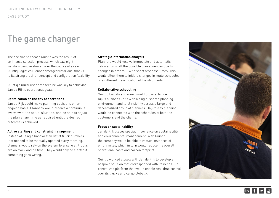## The game changer

The decision to choose Quintiq was the result of an intense selection process, which saw eight vendors being evaluated over the course of a year. Quintiq Logistics Planner emerged victorious, thanks to its strong proof-of-concept and configuration flexibility.

Quintiq's multi-user architecture was key to achieving Jan de Rijk's operational goals:

#### **Optimization on the day of operations**

Jan de Rijk could make planning decisions on an ongoing basis. Planners would receive a continuous overview of the actual situation, and be able to adjust the plan at any time as required until the desired outcome is achieved.

#### **Active alerting and constraint management**

Instead of using a handwritten list of truck numbers that needed to be manually updated every morning, planners would rely on the system to ensure all trucks are on track and on time. They would only be alerted if something goes wrong.

#### **Strategic information analysis**

Planners would receive immediate and automatic calculation of all the possible consequences due to changes in orders — with short response times. This would allow them to initiate changes in route schedules or a different classification of the shipments.

#### **Collaborative scheduling**

Quintiq Logistics Planner would provide Jan de Rijk's business units with a single, shared planning environment and total visibility across a large and decentralized group of planners. Day-to-day planning would be connected with the schedules of both the customers and the clients.

#### **Focus on sustainability**

Jan de Rijk places special importance on sustainability and environmental management. With Quintiq, the company would be able to reduce instances of empty miles, which in turn would reduce the overall operational costs and carbon footprint.

Quintiq worked closely with Jan de Rijk to develop a bespoke solution that corresponded with its needs — a centralized platform that would enable real-time control over its trucks and cargo globally.

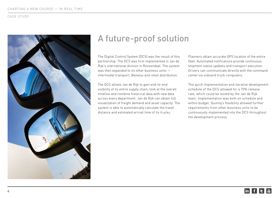

### A future-proof solution

The Digital Control System (DCS) was the result of this partnership. The DCS was first implemented in Jan de Rijk's international division in Roosendaal. The system was then expanded to its other business units intermodal transport, Benelux and retail distribution.

The DCS allows Jan de Rijk to gain end-to-end visibility of its entire supply chain, look at the overall timeline and combine historical data with new data across every department. Jan de Rijk can obtain full visualization of freight demand and asset capacity. The system is able to automatically calculate the travel distance and estimated arrival time of its trucks.

Planners obtain accurate GPS location of the entire fleet. Automated notifications provide continuous shipment status updates and transport execution. Drivers can communicate directly with the command center via onboard truck computers.

The quick implementation and iterative development schedule of the DCS allowed for a 70% release rate, which could be tested by the Jan de Rijk team. Implementation was both on schedule and within budget. Quintiq's flexibility allowed further requirements from other business units to be continuously implemented into the DCS throughout the development process.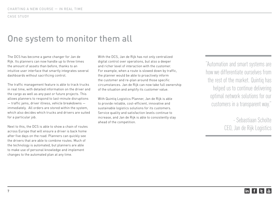### One system to monitor them all

The DCS has become a game changer for Jan de Rijk. Its planners can now handle up to three times the amount of assets than before, thanks to an intuitive user interface that smartly integrates several dashboards without sacrificing control.

The traffic management feature is able to track trucks in real time, with detailed information on the driver and the cargo as well as any past or future projects. This allows planners to respond to last-minute disruptions — traffic jams, driver illness, vehicle breakdowns immediately. All orders are stored within the system, which also decides which trucks and drivers are suited for a particular job.

Next to this, the DCS is able to show a chain of routes across Europe that will ensure a driver is back home after five days on the road. Planners can quickly see the drivers that are able to combine routes. Much of the technology is automated, but planners are able to make use of personal knowledge and implement changes to the automated plan at any time.

With the DCS, Jan de Rijk has not only centralized digital control over operations, but also a deeper and richer level of interaction with the customer. For example, when a route is slowed down by traffic, the planner would be able to proactively inform the customer and re-plan around those specific circumstances. Jan de Rijk can now take full ownership of the situation and amplify its customer value.

With Quintiq Logistics Planner, Jan de Rijk is able to provide reliable, cost-efficient, innovative and sustainable logistics solutions for its customers. Service quality and satisfaction levels continue to increase, and Jan de Rijk is able to consistently stay ahead of the competition.

"Automation and smart systems are how we differentiate ourselves from the rest of the market. Quintiq has helped us to continue delivering optimal network solutions for our customers in a transparent way."

> - Sebastiaan Scholte CEO, Jan de Rijk Logistics